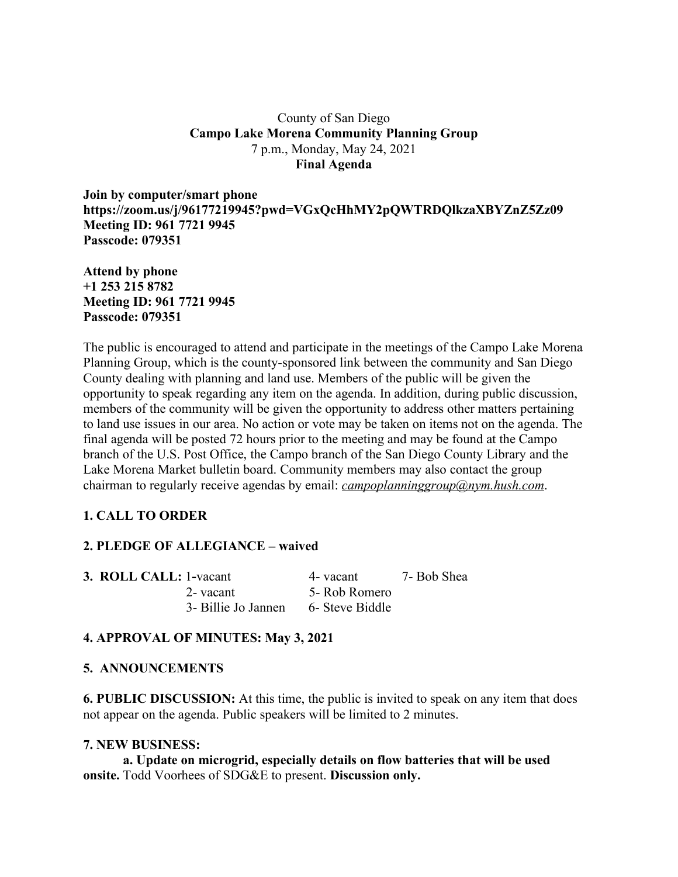## County of San Diego **Campo Lake Morena Community Planning Group** 7 p.m., Monday, May 24, 2021 **Final Agenda**

**Join by computer/smart phone https://zoom.us/j/96177219945?pwd=VGxQcHhMY2pQWTRDQlkzaXBYZnZ5Zz09 Meeting ID: 961 7721 9945 Passcode: 079351**

**Attend by phone +1 253 215 8782 Meeting ID: 961 7721 9945 Passcode: 079351**

The public is encouraged to attend and participate in the meetings of the Campo Lake Morena Planning Group, which is the county-sponsored link between the community and San Diego County dealing with planning and land use. Members of the public will be given the opportunity to speak regarding any item on the agenda. In addition, during public discussion, members of the community will be given the opportunity to address other matters pertaining to land use issues in our area. No action or vote may be taken on items not on the agenda. The final agenda will be posted 72 hours prior to the meeting and may be found at the Campo branch of the U.S. Post Office, the Campo branch of the San Diego County Library and the Lake Morena Market bulletin board. Community members may also contact the group chairman to regularly receive agendas by email: *campoplanninggroup@nym.hush.com*.

# **1. CALL TO ORDER**

#### **2. PLEDGE OF ALLEGIANCE – waived**

| <b>3. ROLL CALL: 1-vacant</b> |                     | 4- vacant       | 7- Bob Shea |
|-------------------------------|---------------------|-----------------|-------------|
|                               | 2- vacant           | 5- Rob Romero   |             |
|                               | 3- Billie Jo Jannen | 6- Steve Biddle |             |

#### **4. APPROVAL OF MINUTES: May 3, 2021**

#### **5. ANNOUNCEMENTS**

**6. PUBLIC DISCUSSION:** At this time, the public is invited to speak on any item that does not appear on the agenda. Public speakers will be limited to 2 minutes.

#### **7. NEW BUSINESS:**

**a. Update on microgrid, especially details on flow batteries that will be used onsite.** Todd Voorhees of SDG&E to present. **Discussion only.**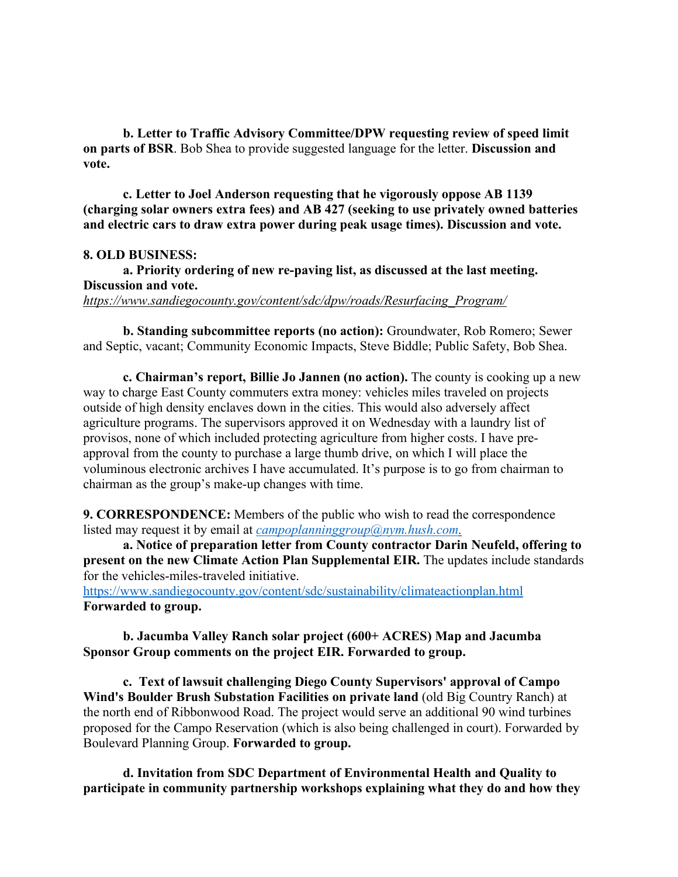**b. Letter to Traffic Advisory Committee/DPW requesting review of speed limit on parts of BSR**. Bob Shea to provide suggested language for the letter. **Discussion and vote.**

**c. Letter to Joel Anderson requesting that he vigorously oppose AB 1139 (charging solar owners extra fees) and AB 427 (seeking to use privately owned batteries and electric cars to draw extra power during peak usage times). Discussion and vote.**

#### **8. OLD BUSINESS:**

**a. Priority ordering of new re-paving list, as discussed at the last meeting. Discussion and vote.** *https://www.sandiegocounty.gov/content/sdc/dpw/roads/Resurfacing\_Program/*

**b. Standing subcommittee reports (no action):** Groundwater, Rob Romero; Sewer and Septic, vacant; Community Economic Impacts, Steve Biddle; Public Safety, Bob Shea.

**c. Chairman's report, Billie Jo Jannen (no action).** The county is cooking up a new way to charge East County commuters extra money: vehicles miles traveled on projects outside of high density enclaves down in the cities. This would also adversely affect agriculture programs. The supervisors approved it on Wednesday with a laundry list of provisos, none of which included protecting agriculture from higher costs. I have preapproval from the county to purchase a large thumb drive, on which I will place the voluminous electronic archives I have accumulated. It's purpose is to go from chairman to chairman as the group's make-up changes with time.

**9. CORRESPONDENCE:** Members of the public who wish to read the correspondence listed may request it by email at *campoplanninggroup@nym.hush.com.*

**a. Notice of preparation letter from County contractor Darin Neufeld, offering to present on the new Climate Action Plan Supplemental EIR.** The updates include standards for the vehicles-miles-traveled initiative.

https://www.sandiegocounty.gov/content/sdc/sustainability/climateactionplan.html **Forwarded to group.**

### **b. Jacumba Valley Ranch solar project (600+ ACRES) Map and Jacumba Sponsor Group comments on the project EIR. Forwarded to group.**

**c. Text of lawsuit challenging Diego County Supervisors' approval of Campo Wind's Boulder Brush Substation Facilities on private land** (old Big Country Ranch) at the north end of Ribbonwood Road. The project would serve an additional 90 wind turbines proposed for the Campo Reservation (which is also being challenged in court). Forwarded by Boulevard Planning Group. **Forwarded to group.**

**d. Invitation from SDC Department of Environmental Health and Quality to participate in community partnership workshops explaining what they do and how they**